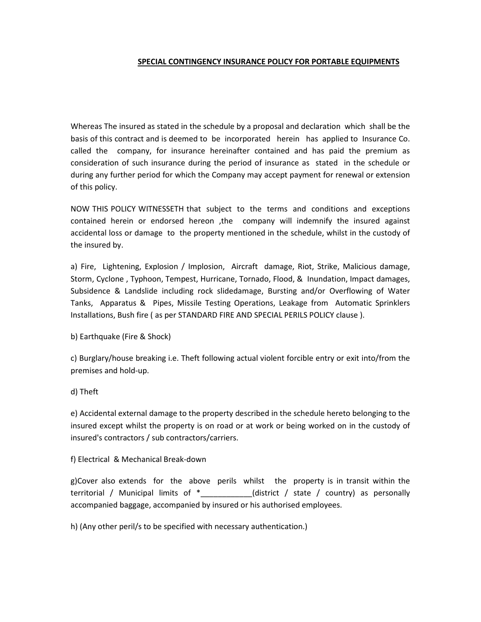## SPECIAL CONTINGENCY INSURANCE POLICY FOR PORTABLE EQUIPMENTS

Whereas The insured as stated in the schedule by a proposal and declaration which shall be the basis of this contract and is deemed to be incorporated herein has applied to Insurance Co. called the company, for insurance hereinafter contained and has paid the premium as consideration of such insurance during the period of insurance as stated in the schedule or during any further period for which the Company may accept payment for renewal or extension of this policy.

NOW THIS POLICY WITNESSETH that subject to the terms and conditions and exceptions contained herein or endorsed hereon ,the company will indemnify the insured against accidental loss or damage to the property mentioned in the schedule, whilst in the custody of the insured by.

a) Fire, Lightening, Explosion / Implosion, Aircraft damage, Riot, Strike, Malicious damage, Storm, Cyclone , Typhoon, Tempest, Hurricane, Tornado, Flood, & Inundation, Impact damages, Subsidence & Landslide including rock slidedamage, Bursting and/or Overflowing of Water Tanks, Apparatus & Pipes, Missile Testing Operations, Leakage from Automatic Sprinklers Installations, Bush fire ( as per STANDARD FIRE AND SPECIAL PERILS POLICY clause ).

b) Earthquake (Fire & Shock)

c) Burglary/house breaking i.e. Theft following actual violent forcible entry or exit into/from the premises and hold-up.

# d) Theft

e) Accidental external damage to the property described in the schedule hereto belonging to the insured except whilst the property is on road or at work or being worked on in the custody of insured's contractors / sub contractors/carriers.

## f) Electrical & Mechanical Break-down

g)Cover also extends for the above perils whilst the property is in transit within the territorial / Municipal limits of \*\_\_\_\_\_\_\_\_\_\_\_\_(district / state / country) as personally accompanied baggage, accompanied by insured or his authorised employees.

h) (Any other peril/s to be specified with necessary authentication.)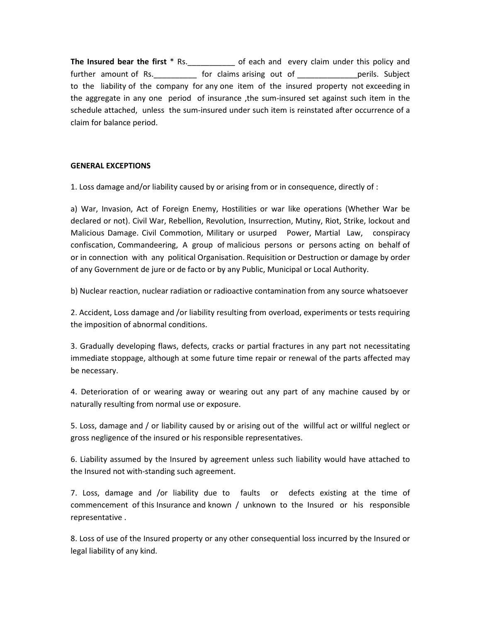The Insured bear the first \* Rs.\_\_\_\_\_\_\_\_\_\_\_\_\_ of each and every claim under this policy and further amount of Rs. The state of claims arising out of The Subject perils. Subject to the liability of the company for any one item of the insured property not exceeding in the aggregate in any one period of insurance ,the sum-insured set against such item in the schedule attached, unless the sum-insured under such item is reinstated after occurrence of a claim for balance period.

## GENERAL EXCEPTIONS

1. Loss damage and/or liability caused by or arising from or in consequence, directly of :

a) War, Invasion, Act of Foreign Enemy, Hostilities or war like operations (Whether War be declared or not). Civil War, Rebellion, Revolution, Insurrection, Mutiny, Riot, Strike, lockout and Malicious Damage. Civil Commotion, Military or usurped Power, Martial Law, conspiracy confiscation, Commandeering, A group of malicious persons or persons acting on behalf of or in connection with any political Organisation. Requisition or Destruction or damage by order of any Government de jure or de facto or by any Public, Municipal or Local Authority.

b) Nuclear reaction, nuclear radiation or radioactive contamination from any source whatsoever

2. Accident, Loss damage and /or liability resulting from overload, experiments or tests requiring the imposition of abnormal conditions.

3. Gradually developing flaws, defects, cracks or partial fractures in any part not necessitating immediate stoppage, although at some future time repair or renewal of the parts affected may be necessary.

4. Deterioration of or wearing away or wearing out any part of any machine caused by or naturally resulting from normal use or exposure.

5. Loss, damage and / or liability caused by or arising out of the willful act or willful neglect or gross negligence of the insured or his responsible representatives.

6. Liability assumed by the Insured by agreement unless such liability would have attached to the Insured not with-standing such agreement.

7. Loss, damage and /or liability due to faults or defects existing at the time of commencement of this Insurance and known / unknown to the Insured or his responsible representative .

8. Loss of use of the Insured property or any other consequential loss incurred by the Insured or legal liability of any kind.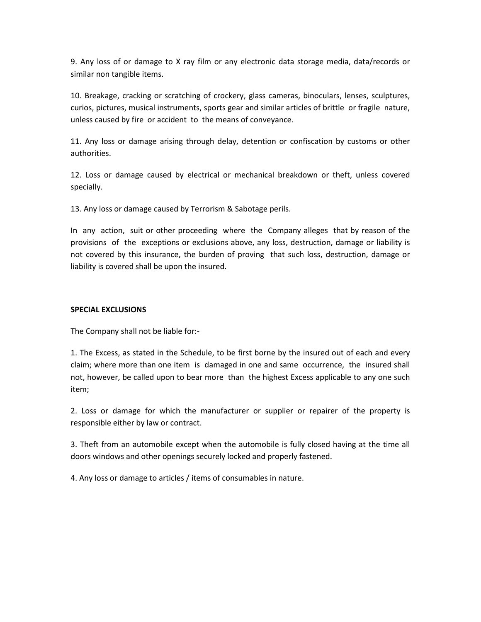9. Any loss of or damage to X ray film or any electronic data storage media, data/records or similar non tangible items.

10. Breakage, cracking or scratching of crockery, glass cameras, binoculars, lenses, sculptures, curios, pictures, musical instruments, sports gear and similar articles of brittle or fragile nature, unless caused by fire or accident to the means of conveyance.

11. Any loss or damage arising through delay, detention or confiscation by customs or other authorities.

12. Loss or damage caused by electrical or mechanical breakdown or theft, unless covered specially.

13. Any loss or damage caused by Terrorism & Sabotage perils.

In any action, suit or other proceeding where the Company alleges that by reason of the provisions of the exceptions or exclusions above, any loss, destruction, damage or liability is not covered by this insurance, the burden of proving that such loss, destruction, damage or liability is covered shall be upon the insured.

### SPECIAL EXCLUSIONS

The Company shall not be liable for:-

1. The Excess, as stated in the Schedule, to be first borne by the insured out of each and every claim; where more than one item is damaged in one and same occurrence, the insured shall not, however, be called upon to bear more than the highest Excess applicable to any one such item;

2. Loss or damage for which the manufacturer or supplier or repairer of the property is responsible either by law or contract.

3. Theft from an automobile except when the automobile is fully closed having at the time all doors windows and other openings securely locked and properly fastened.

4. Any loss or damage to articles / items of consumables in nature.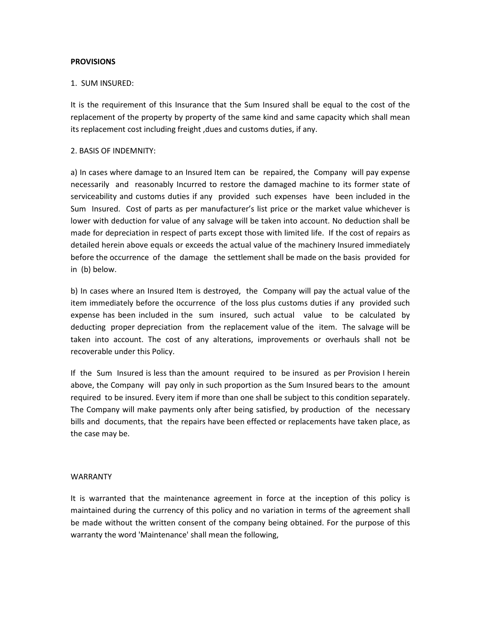## **PROVISIONS**

### 1. SUM INSURED:

It is the requirement of this Insurance that the Sum Insured shall be equal to the cost of the replacement of the property by property of the same kind and same capacity which shall mean its replacement cost including freight, dues and customs duties, if any.

### 2. BASIS OF INDEMNITY:

a) In cases where damage to an Insured Item can be repaired, the Company will pay expense necessarily and reasonably Incurred to restore the damaged machine to its former state of serviceability and customs duties if any provided such expenses have been included in the Sum Insured. Cost of parts as per manufacturer's list price or the market value whichever is lower with deduction for value of any salvage will be taken into account. No deduction shall be made for depreciation in respect of parts except those with limited life. If the cost of repairs as detailed herein above equals or exceeds the actual value of the machinery Insured immediately before the occurrence of the damage the settlement shall be made on the basis provided for in (b) below.

b) In cases where an Insured Item is destroyed, the Company will pay the actual value of the item immediately before the occurrence of the loss plus customs duties if any provided such expense has been included in the sum insured, such actual value to be calculated by deducting proper depreciation from the replacement value of the item. The salvage will be taken into account. The cost of any alterations, improvements or overhauls shall not be recoverable under this Policy.

If the Sum Insured is less than the amount required to be insured as per Provision I herein above, the Company will pay only in such proportion as the Sum Insured bears to the amount required to be insured. Every item if more than one shall be subject to this condition separately. The Company will make payments only after being satisfied, by production of the necessary bills and documents, that the repairs have been effected or replacements have taken place, as the case may be.

#### WARRANTY

It is warranted that the maintenance agreement in force at the inception of this policy is maintained during the currency of this policy and no variation in terms of the agreement shall be made without the written consent of the company being obtained. For the purpose of this warranty the word 'Maintenance' shall mean the following,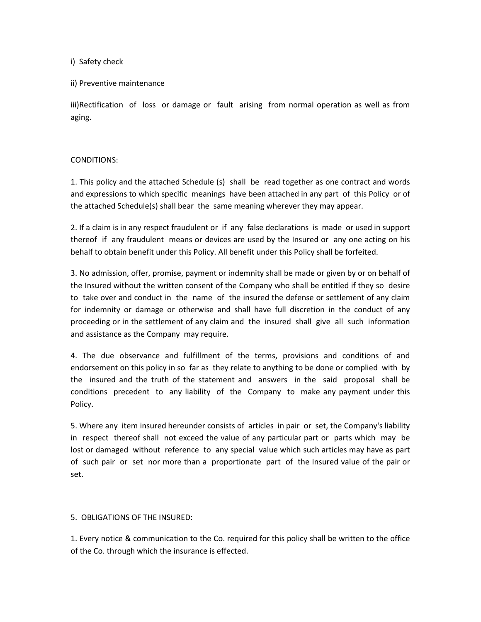i) Safety check

### ii) Preventive maintenance

iii)Rectification of loss or damage or fault arising from normal operation as well as from aging.

## CONDITIONS:

1. This policy and the attached Schedule (s) shall be read together as one contract and words and expressions to which specific meanings have been attached in any part of this Policy or of the attached Schedule(s) shall bear the same meaning wherever they may appear.

2. If a claim is in any respect fraudulent or if any false declarations is made or used in support thereof if any fraudulent means or devices are used by the Insured or any one acting on his behalf to obtain benefit under this Policy. All benefit under this Policy shall be forfeited.

3. No admission, offer, promise, payment or indemnity shall be made or given by or on behalf of the Insured without the written consent of the Company who shall be entitled if they so desire to take over and conduct in the name of the insured the defense or settlement of any claim for indemnity or damage or otherwise and shall have full discretion in the conduct of any proceeding or in the settlement of any claim and the insured shall give all such information and assistance as the Company may require.

4. The due observance and fulfillment of the terms, provisions and conditions of and endorsement on this policy in so far as they relate to anything to be done or complied with by the insured and the truth of the statement and answers in the said proposal shall be conditions precedent to any liability of the Company to make any payment under this Policy.

5. Where any item insured hereunder consists of articles in pair or set, the Company's liability in respect thereof shall not exceed the value of any particular part or parts which may be lost or damaged without reference to any special value which such articles may have as part of such pair or set nor more than a proportionate part of the Insured value of the pair or set.

## 5. OBLIGATIONS OF THE INSURED:

1. Every notice & communication to the Co. required for this policy shall be written to the office of the Co. through which the insurance is effected.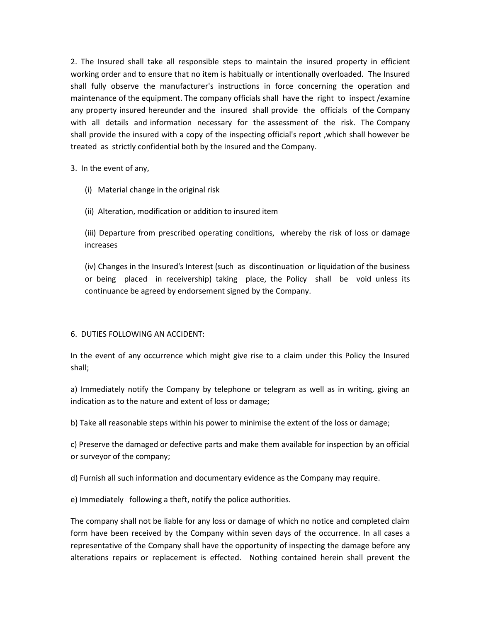2. The Insured shall take all responsible steps to maintain the insured property in efficient working order and to ensure that no item is habitually or intentionally overloaded. The Insured shall fully observe the manufacturer's instructions in force concerning the operation and maintenance of the equipment. The company officials shall have the right to inspect /examine any property insured hereunder and the insured shall provide the officials of the Company with all details and information necessary for the assessment of the risk. The Company shall provide the insured with a copy of the inspecting official's report ,which shall however be treated as strictly confidential both by the Insured and the Company.

3. In the event of any,

(i) Material change in the original risk

(ii) Alteration, modification or addition to insured item

(iii) Departure from prescribed operating conditions, whereby the risk of loss or damage increases

(iv) Changes in the Insured's Interest (such as discontinuation or liquidation of the business or being placed in receivership) taking place, the Policy shall be void unless its continuance be agreed by endorsement signed by the Company.

## 6. DUTIES FOLLOWING AN ACCIDENT:

In the event of any occurrence which might give rise to a claim under this Policy the Insured shall;

a) Immediately notify the Company by telephone or telegram as well as in writing, giving an indication as to the nature and extent of loss or damage;

b) Take all reasonable steps within his power to minimise the extent of the loss or damage;

c) Preserve the damaged or defective parts and make them available for inspection by an official or surveyor of the company;

d) Furnish all such information and documentary evidence as the Company may require.

e) Immediately following a theft, notify the police authorities.

The company shall not be liable for any loss or damage of which no notice and completed claim form have been received by the Company within seven days of the occurrence. In all cases a representative of the Company shall have the opportunity of inspecting the damage before any alterations repairs or replacement is effected. Nothing contained herein shall prevent the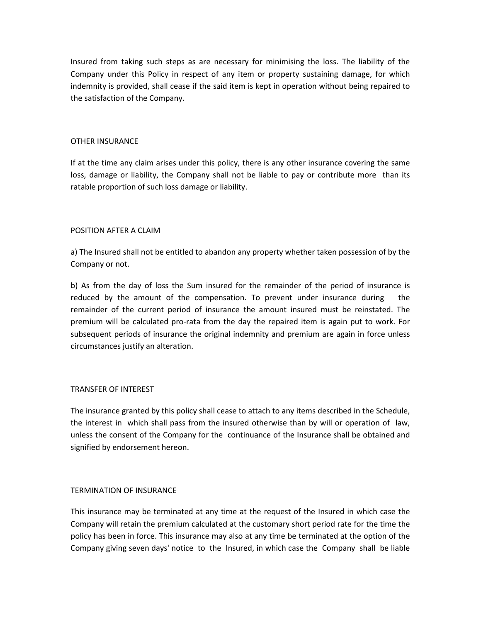Insured from taking such steps as are necessary for minimising the loss. The liability of the Company under this Policy in respect of any item or property sustaining damage, for which indemnity is provided, shall cease if the said item is kept in operation without being repaired to the satisfaction of the Company.

## OTHER INSURANCE

If at the time any claim arises under this policy, there is any other insurance covering the same loss, damage or liability, the Company shall not be liable to pay or contribute more than its ratable proportion of such loss damage or liability.

## POSITION AFTER A CLAIM

a) The Insured shall not be entitled to abandon any property whether taken possession of by the Company or not.

b) As from the day of loss the Sum insured for the remainder of the period of insurance is reduced by the amount of the compensation. To prevent under insurance during the remainder of the current period of insurance the amount insured must be reinstated. The premium will be calculated pro-rata from the day the repaired item is again put to work. For subsequent periods of insurance the original indemnity and premium are again in force unless circumstances justify an alteration.

## TRANSFER OF INTEREST

The insurance granted by this policy shall cease to attach to any items described in the Schedule, the interest in which shall pass from the insured otherwise than by will or operation of law, unless the consent of the Company for the continuance of the Insurance shall be obtained and signified by endorsement hereon.

## TERMINATION OF INSURANCE

This insurance may be terminated at any time at the request of the Insured in which case the Company will retain the premium calculated at the customary short period rate for the time the policy has been in force. This insurance may also at any time be terminated at the option of the Company giving seven days' notice to the Insured, in which case the Company shall be liable